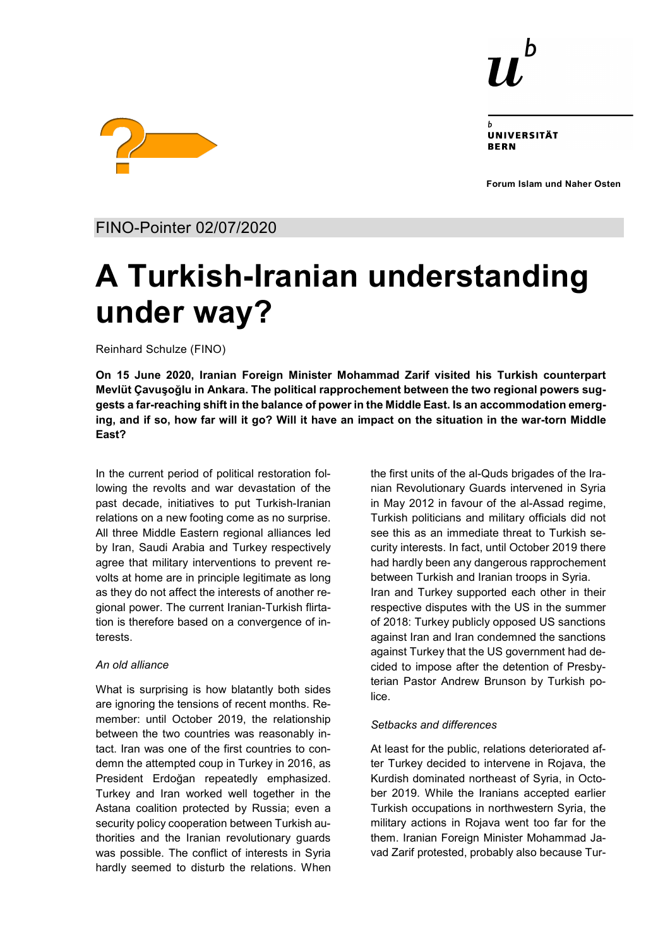

UNIVERSITÄT **RERN** 

**Forum Islam und Naher Osten**



FINO-Pointer 02/07/2020

# **A Turkish-Iranian understanding under way?**

Reinhard Schulze (FINO)

**On 15 June 2020, Iranian Foreign Minister Mohammad Zarif visited his Turkish counterpart Mevlüt Çavuşoğlu in Ankara. The political rapprochement between the two regional powers suggests a far-reaching shift in the balance of power in the Middle East. Is an accommodation emerging, and if so, how far will it go? Will it have an impact on the situation in the war-torn Middle East?**

In the current period of political restoration following the revolts and war devastation of the past decade, initiatives to put Turkish-Iranian relations on a new footing come as no surprise. All three Middle Eastern regional alliances led by Iran, Saudi Arabia and Turkey respectively agree that military interventions to prevent revolts at home are in principle legitimate as long as they do not affect the interests of another regional power. The current Iranian-Turkish flirtation is therefore based on a convergence of interests.

## *An old alliance*

What is surprising is how blatantly both sides are ignoring the tensions of recent months. Remember: until October 2019, the relationship between the two countries was reasonably intact. Iran was one of the first countries to condemn the attempted coup in Turkey in 2016, as President Erdoğan repeatedly emphasized. Turkey and Iran worked well together in the Astana coalition protected by Russia; even a security policy cooperation between Turkish authorities and the Iranian revolutionary guards was possible. The conflict of interests in Syria hardly seemed to disturb the relations. When the first units of the al-Quds brigades of the Iranian Revolutionary Guards intervened in Syria in May 2012 in favour of the al-Assad regime, Turkish politicians and military officials did not see this as an immediate threat to Turkish security interests. In fact, until October 2019 there had hardly been any dangerous rapprochement between Turkish and Iranian troops in Syria. Iran and Turkey supported each other in their respective disputes with the US in the summer of 2018: Turkey publicly opposed US sanctions against Iran and Iran condemned the sanctions against Turkey that the US government had decided to impose after the detention of Presbyterian Pastor Andrew Brunson by Turkish police.

## *Setbacks and differences*

At least for the public, relations deteriorated after Turkey decided to intervene in Rojava, the Kurdish dominated northeast of Syria, in October 2019. While the Iranians accepted earlier Turkish occupations in northwestern Syria, the military actions in Rojava went too far for the them. Iranian Foreign Minister Mohammad Javad Zarif protested, probably also because Tur-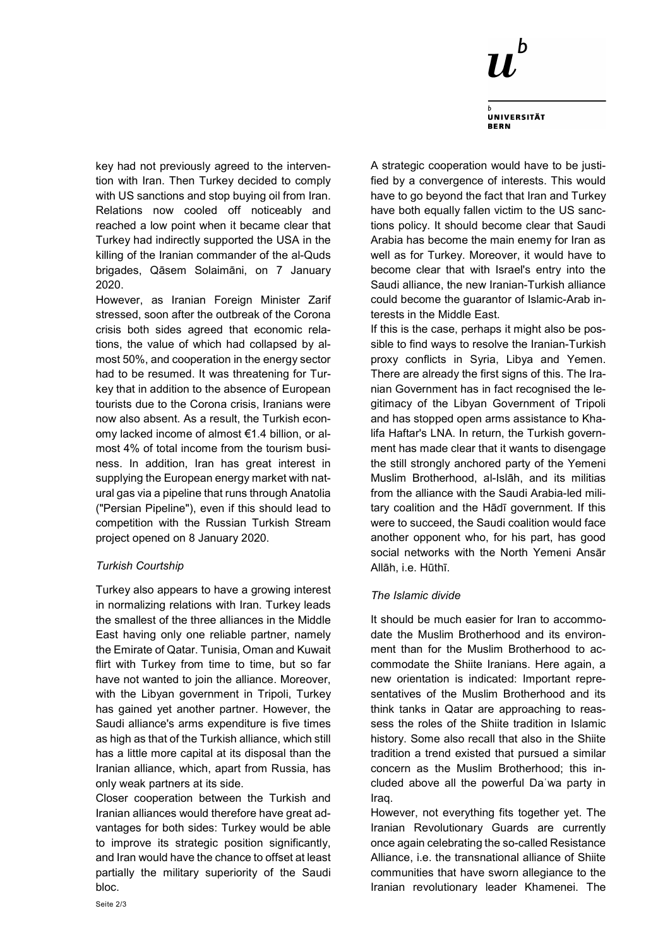

**UNIVERSITÄT BERN** 

key had not previously agreed to the intervention with Iran. Then Turkey decided to comply with US sanctions and stop buying oil from Iran. Relations now cooled off noticeably and reached a low point when it became clear that Turkey had indirectly supported the USA in the killing of the Iranian commander of the al-Quds brigades, Qāsem Solaimāni, on 7 January 2020.

However, as Iranian Foreign Minister Zarif stressed, soon after the outbreak of the Corona crisis both sides agreed that economic relations, the value of which had collapsed by almost 50%, and cooperation in the energy sector had to be resumed. It was threatening for Turkey that in addition to the absence of European tourists due to the Corona crisis, Iranians were now also absent. As a result, the Turkish economy lacked income of almost €1.4 billion, or almost 4% of total income from the tourism business. In addition, Iran has great interest in supplying the European energy market with natural gas via a pipeline that runs through Anatolia ("Persian Pipeline"), even if this should lead to competition with the Russian Turkish Stream project opened on 8 January 2020.

### *Turkish Courtship*

Turkey also appears to have a growing interest in normalizing relations with Iran. Turkey leads the smallest of the three alliances in the Middle East having only one reliable partner, namely the Emirate of Qatar. Tunisia, Oman and Kuwait flirt with Turkey from time to time, but so far have not wanted to join the alliance. Moreover, with the Libyan government in Tripoli, Turkey has gained yet another partner. However, the Saudi alliance's arms expenditure is five times as high as that of the Turkish alliance, which still has a little more capital at its disposal than the Iranian alliance, which, apart from Russia, has only weak partners at its side.

Closer cooperation between the Turkish and Iranian alliances would therefore have great advantages for both sides: Turkey would be able to improve its strategic position significantly, and Iran would have the chance to offset at least partially the military superiority of the Saudi bloc.

A strategic cooperation would have to be justified by a convergence of interests. This would have to go beyond the fact that Iran and Turkey have both equally fallen victim to the US sanctions policy. It should become clear that Saudi Arabia has become the main enemy for Iran as well as for Turkey. Moreover, it would have to become clear that with Israel's entry into the Saudi alliance, the new Iranian-Turkish alliance could become the guarantor of Islamic-Arab interests in the Middle East.

If this is the case, perhaps it might also be possible to find ways to resolve the Iranian-Turkish proxy conflicts in Syria, Libya and Yemen. There are already the first signs of this. The Iranian Government has in fact recognised the legitimacy of the Libyan Government of Tripoli and has stopped open arms assistance to Khalifa Haftar's LNA. In return, the Turkish government has made clear that it wants to disengage the still strongly anchored party of the Yemeni Muslim Brotherhood, al-Islāh, and its militias from the alliance with the Saudi Arabia-led military coalition and the Hādī government. If this were to succeed, the Saudi coalition would face another opponent who, for his part, has good social networks with the North Yemeni Ansār Allāh, i.e. Hūthī.

#### *The Islamic divide*

It should be much easier for Iran to accommodate the Muslim Brotherhood and its environment than for the Muslim Brotherhood to accommodate the Shiite Iranians. Here again, a new orientation is indicated: Important representatives of the Muslim Brotherhood and its think tanks in Qatar are approaching to reassess the roles of the Shiite tradition in Islamic history. Some also recall that also in the Shiite tradition a trend existed that pursued a similar concern as the Muslim Brotherhood; this included above all the powerful Daʿwa party in Iraq.

However, not everything fits together yet. The Iranian Revolutionary Guards are currently once again celebrating the so-called Resistance Alliance, i.e. the transnational alliance of Shiite communities that have sworn allegiance to the Iranian revolutionary leader Khamenei. The